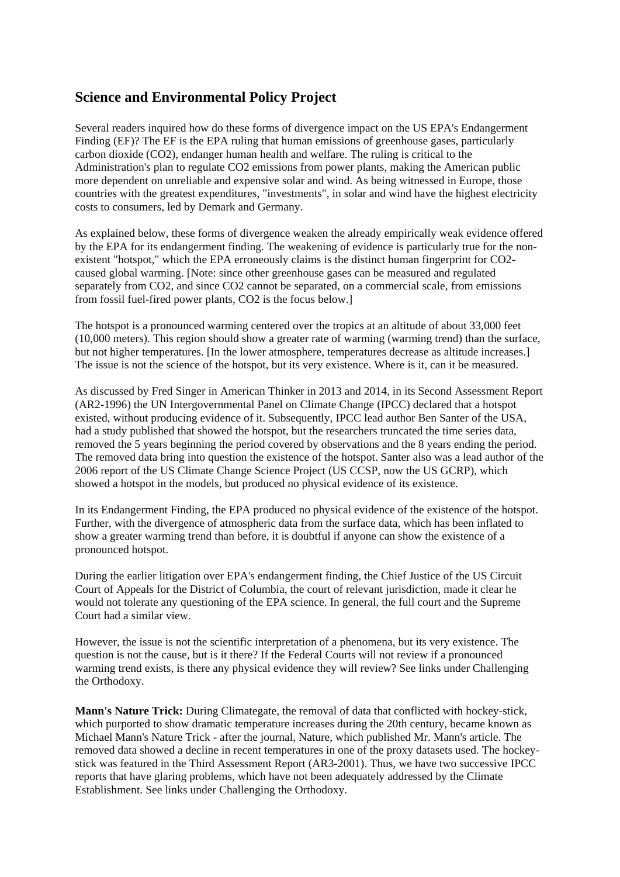## **Science and Environmental Policy Project**

Several readers inquired how do these forms of divergence impact on the US EPA's Endangerment Finding (EF)? The EF is the EPA ruling that human emissions of greenhouse gases, particularly carbon dioxide (CO2), endanger human health and welfare. The ruling is critical to the Administration's plan to regulate CO2 emissions from power plants, making the American public more dependent on unreliable and expensive solar and wind. As being witnessed in Europe, those countries with the greatest expenditures, "investments", in solar and wind have the highest electricity costs to consumers, led by Demark and Germany.

As explained below, these forms of divergence weaken the already empirically weak evidence offered by the EPA for its endangerment finding. The weakening of evidence is particularly true for the nonexistent "hotspot," which the EPA erroneously claims is the distinct human fingerprint for CO2caused global warming. [Note: since other greenhouse gases can be measured and regulated separately from CO2, and since CO2 cannot be separated, on a commercial scale, from emissions from fossil fuel-fired power plants, CO2 is the focus below.]

The hotspot is a pronounced warming centered over the tropics at an altitude of about 33,000 feet (10,000 meters). This region should show a greater rate of warming (warming trend) than the surface, but not higher temperatures. [In the lower atmosphere, temperatures decrease as altitude increases.] The issue is not the science of the hotspot, but its very existence. Where is it, can it be measured.

As discussed by Fred Singer in American Thinker in 2013 and 2014, in its Second Assessment Report (AR2-1996) the UN Intergovernmental Panel on Climate Change (IPCC) declared that a hotspot existed, without producing evidence of it. Subsequently, IPCC lead author Ben Santer of the USA, had a study published that showed the hotspot, but the researchers truncated the time series data, removed the 5 years beginning the period covered by observations and the 8 years ending the period. The removed data bring into question the existence of the hotspot. Santer also was a lead author of the 2006 report of the US Climate Change Science Project (US CCSP, now the US GCRP), which showed a hotspot in the models, but produced no physical evidence of its existence.

In its Endangerment Finding, the EPA produced no physical evidence of the existence of the hotspot. Further, with the divergence of atmospheric data from the surface data, which has been inflated to show a greater warming trend than before, it is doubtful if anyone can show the existence of a pronounced hotspot.

During the earlier litigation over EPA's endangerment finding, the Chief Justice of the US Circuit Court of Appeals for the District of Columbia, the court of relevant jurisdiction, made it clear he would not tolerate any questioning of the EPA science. In general, the full court and the Supreme Court had a similar view.

However, the issue is not the scientific interpretation of a phenomena, but its very existence. The question is not the cause, but is it there? If the Federal Courts will not review if a pronounced warming trend exists, is there any physical evidence they will review? See links under Challenging the Orthodoxy.

**Mann's Nature Trick:** During Climategate, the removal of data that conflicted with hockey-stick, which purported to show dramatic temperature increases during the 20th century, became known as Michael Mann's Nature Trick - after the journal, Nature, which published Mr. Mann's article. The removed data showed a decline in recent temperatures in one of the proxy datasets used. The hockeystick was featured in the Third Assessment Report (AR3-2001). Thus, we have two successive IPCC reports that have glaring problems, which have not been adequately addressed by the Climate Establishment. See links under Challenging the Orthodoxy.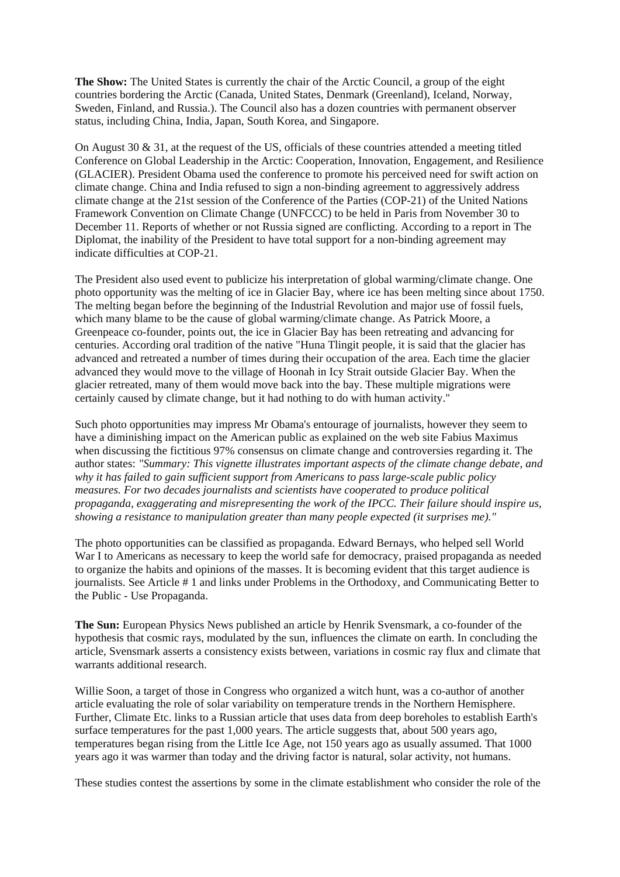**The Show:** The United States is currently the chair of the Arctic Council, a group of the eight countries bordering the Arctic (Canada, United States, Denmark (Greenland), Iceland, Norway, Sweden, Finland, and Russia.). The Council also has a dozen countries with permanent observer status, including China, India, Japan, South Korea, and Singapore.

On August 30  $\&$  31, at the request of the US, officials of these countries attended a meeting titled Conference on Global Leadership in the Arctic: Cooperation, Innovation, Engagement, and Resilience (GLACIER). President Obama used the conference to promote his perceived need for swift action on climate change. China and India refused to sign a non-binding agreement to aggressively address climate change at the 21st session of the Conference of the Parties (COP-21) of the United Nations Framework Convention on Climate Change (UNFCCC) to be held in Paris from November 30 to December 11. Reports of whether or not Russia signed are conflicting. According to a report in The Diplomat, the inability of the President to have total support for a non-binding agreement may indicate difficulties at COP-21.

The President also used event to publicize his interpretation of global warming/climate change. One photo opportunity was the melting of ice in Glacier Bay, where ice has been melting since about 1750. The melting began before the beginning of the Industrial Revolution and major use of fossil fuels, which many blame to be the cause of global warming/climate change. As Patrick Moore, a Greenpeace co-founder, points out, the ice in Glacier Bay has been retreating and advancing for centuries. According oral tradition of the native "Huna Tlingit people, it is said that the glacier has advanced and retreated a number of times during their occupation of the area. Each time the glacier advanced they would move to the village of Hoonah in Icy Strait outside Glacier Bay. When the glacier retreated, many of them would move back into the bay. These multiple migrations were certainly caused by climate change, but it had nothing to do with human activity."

Such photo opportunities may impress Mr Obama's entourage of journalists, however they seem to have a diminishing impact on the American public as explained on the web site Fabius Maximus when discussing the fictitious 97% consensus on climate change and controversies regarding it. The author states: *"Summary: This vignette illustrates important aspects of the climate change debate, and why it has failed to gain sufficient support from Americans to pass large-scale public policy measures. For two decades journalists and scientists have cooperated to produce political propaganda, exaggerating and misrepresenting the work of the IPCC. Their failure should inspire us, showing a resistance to manipulation greater than many people expected (it surprises me)."*

The photo opportunities can be classified as propaganda. Edward Bernays, who helped sell World War I to Americans as necessary to keep the world safe for democracy, praised propaganda as needed to organize the habits and opinions of the masses. It is becoming evident that this target audience is journalists. See Article # 1 and links under Problems in the Orthodoxy, and Communicating Better to the Public - Use Propaganda.

**The Sun:** European Physics News published an article by Henrik Svensmark, a co-founder of the hypothesis that cosmic rays, modulated by the sun, influences the climate on earth. In concluding the article, Svensmark asserts a consistency exists between, variations in cosmic ray flux and climate that warrants additional research.

Willie Soon, a target of those in Congress who organized a witch hunt, was a co-author of another article evaluating the role of solar variability on temperature trends in the Northern Hemisphere. Further, Climate Etc. links to a Russian article that uses data from deep boreholes to establish Earth's surface temperatures for the past 1,000 years. The article suggests that, about 500 years ago, temperatures began rising from the Little Ice Age, not 150 years ago as usually assumed. That 1000 years ago it was warmer than today and the driving factor is natural, solar activity, not humans.

These studies contest the assertions by some in the climate establishment who consider the role of the